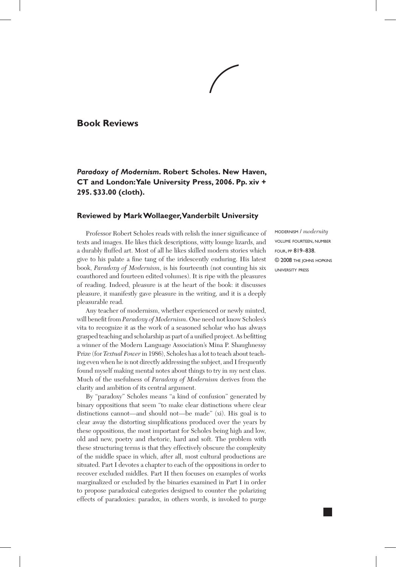## **Book Reviews**

# *Paradoxy of Modernism***. Robert Scholes. New Haven, CT and London: Yale University Press, 2006. Pp. xiv + 295. \$33.00 (cloth).**

#### **Reviewed by Mark Wollaeger, Vanderbilt University**

Professor Robert Scholes reads with relish the inner significance of texts and images. He likes thick descriptions, witty lounge lizards, and a durably fluffed art. Most of all he likes skilled modern stories which give to his palate a fine tang of the iridescently enduring. His latest book, *Paradoxy of Modernism*, is his fourteenth (not counting his six coauthored and fourteen edited volumes). It is ripe with the pleasures of reading. Indeed, pleasure is at the heart of the book: it discusses pleasure, it manifestly gave pleasure in the writing, and it is a deeply pleasurable read.

Any teacher of modernism, whether experienced or newly minted, will benefit from *Paradoxy of Modernism*. One need not know Scholes's vita to recognize it as the work of a seasoned scholar who has always grasped teaching and scholarship as part of a unified project. As befitting a winner of the Modern Language Association's Mina P. Shaughnessy Prize (for *Textual Power* in 1986), Scholes has a lot to teach about teaching even when he is not directly addressing the subject, and I frequently found myself making mental notes about things to try in my next class. Much of the usefulness of *Paradoxy of Modernism* derives from the clarity and ambition of its central argument.

By "paradoxy" Scholes means "a kind of confusion" generated by binary oppositions that seem "to make clear distinctions where clear distinctions cannot—and should not—be made" (xi). His goal is to clear away the distorting simplifications produced over the years by these oppositions, the most important for Scholes being high and low, old and new, poetry and rhetoric, hard and soft. The problem with these structuring terms is that they effectively obscure the complexity of the middle space in which, after all, most cultural productions are situated. Part I devotes a chapter to each of the oppositions in order to recover excluded middles. Part II then focuses on examples of works marginalized or excluded by the binaries examined in Part I in order to propose paradoxical categories designed to counter the polarizing effects of paradoxies: paradox, in others words, is invoked to purge

modernism / *modernity*  volume fourteen, number four, pp 819–838. © 2008 the johns hopkins university press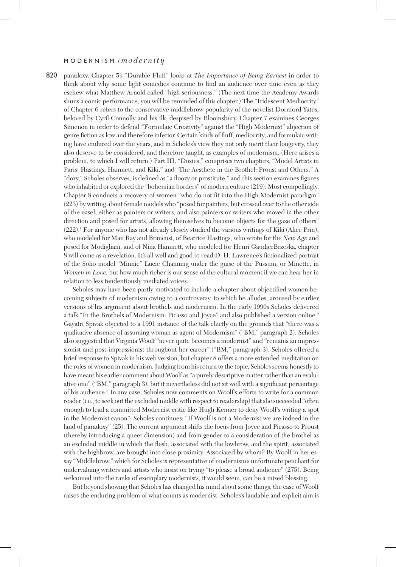#### M O D E R N I S M / *modernity*

820 paradoxy. Chapter 5's "Durable Fluff" looks at *The Importance of Being Earnest* in order to think about why some light comedies continue to find an audience over time even as they eschew what Matthew Arnold called "high seriousness." (The next time the Academy Awards shuns a comic performance, you will be reminded of this chapter.) The "Iridescent Mediocrity" of Chapter 6 refers to the conservative middlebrow popularity of the novelist Dornford Yates, beloved by Cyril Connolly and his ilk, despised by Bloomsbury. Chapter 7 examines Georges Simenon in order to defend "Formulaic Creativity" against the "High Modernist" abjection of genre fiction as low and therefore inferior. Certain kinds of fluff, mediocrity, and formulaic writing have endured over the years, and in Scholes's view they not only merit their longevity, they also deserve to be considered, and therefore taught, as examples of modernism. (Here arises a problem, to which I will return.) Part III, "Doxies," comprises two chapters, "Model Artists in Paris: Hastings, Hamnett, and Kiki," and "The Aesthete in the Brothel: Proust and Others." A "doxy," Scholes observes, is defined as "a floozy or prostitute," and this section examines figures who inhabited or explored the "bohemian borders" of modern culture (219). Most compellingly, Chapter 8 conducts a recovery of women "who do not fit into the High Modernist paradigm" (223) by writing about female models who "posed for painters, but crossed over to the other side of the easel, either as painters or writers, and also painters or writers who moved in the other direction and posed for artists, allowing themselves to become objects for the gaze of others"  $(222).$ <sup>1</sup> For anyone who has not already closely studied the various writings of Kiki (Alice Prin), who modeled for Man Ray and Brancusi, of Beatrice Hastings, who wrote for the *New Age* and posed for Modigliani, and of Nina Hamnett, who modeled for Henri GaudierBrzeska, chapter 8 will come as a revelation. It's all well and good to read D. H. Lawrence's fictionalized portrait of the Soho model "Minnie" Lucie Channing under the guise of the Pussum, or Minette, in *Women in Love*, but how much richer is our sense of the cultural moment if we can hear her in relation to less tendentiously mediated voices.

Scholes may have been partly motivated to include a chapter about objectified women becoming subjects of modernism owing to a controversy, to which he alludes, aroused by earlier versions of his argument about brothels and modernism. In the early 1990s Scholes delivered a talk "In the Brothels of Modernism: Picasso and Joyce" and also published a version online.<sup>2</sup> Gayatri Spivak objected to a 1991 instance of the talk chiefly on the grounds that "there was a qualitative absence of assuming woman as agent of Modernism" ("BM," paragraph 2). Scholes also suggested that Virginia Woolf "never quite becomes a modernist" and "remains an impressionist and post-impressionist throughout her career" ("BM," paragraph 3). Scholes offered a brief response to Spivak in his web version, but chapter 8 offers a more extended meditation on the roles of women in modernism. Judging from his return to the topic, Scholes seems honestly to have meant his earlier comment about Woolf as "a purely descriptive matter rather than an evaluative one" ("BM," paragraph 3), but it nevertheless did not sit well with a significant percentage of his audience.3 In any case, Scholes now comments on Woolf's efforts to write for a common reader (i.e., to seek out the excluded middle with respect to readership) that she succeeded "often enough to lead a committed Modernist critic like Hugh Kenner to deny Woolf's writing a spot in the Modernist canon"; Scholes continues: "If Woolf is not a Modernist we are indeed in the land of paradoxy" (25). The current argument shifts the focus from Joyce and Picasso to Proust (thereby introducing a queer dimension) and from gender to a consideration of the brothel as an excluded middle in which the flesh, associated with the lowbrow, and the spirit, associated with the highbrow, are brought into close proximity. Associated by whom? By Woolf in her essay "Middlebrow," which for Scholes is representative of modernism's unfortunate penchant for undervaluing writers and artists who insist on trying "to please a broad audience" (275). Being welcomed into the ranks of exemplary modernists, it would seem, can be a mixed blessing.

But beyond showing that Scholes has changed his mind about some things, the case of Woolf raises the enduring problem of what counts as modernist. Scholes's laudable and explicit aim is